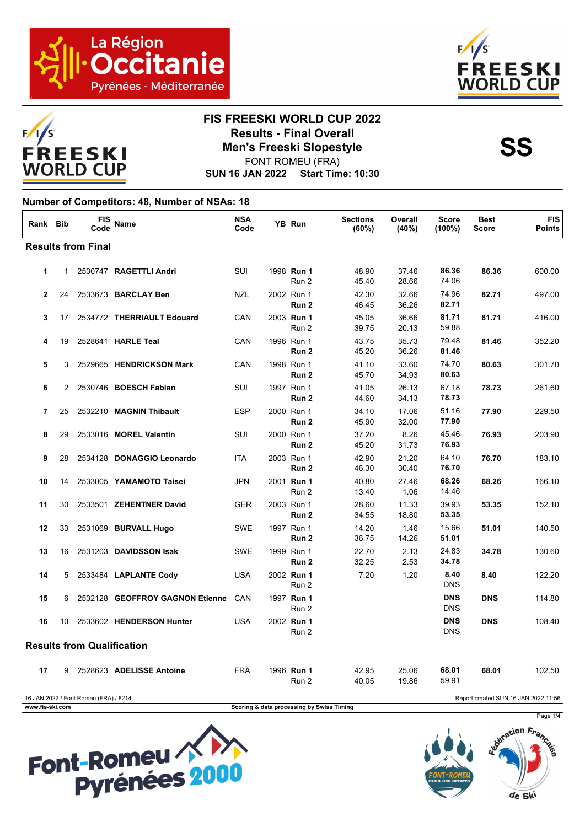





### **FIS FREESKI WORLD CUP 2022 Results - Final Overall<br>Men's Freeski Slopestyle<br>FONT BOMELL(ERA)**

FONT ROMEU (FRA)

**SUN 16 JAN 2022 Start Time: 10:30**

#### **Number of Competitors: 48, Number of NSAs: 18**

| Rank Bib     |    | <b>FIS</b><br>Code                | <b>Name</b>                     | <b>NSA</b><br>Code | YB Run                         | <b>Sections</b><br>(60%) | Overall<br>(40%) | <b>Score</b><br>$(100\%)$ | <b>Best</b><br>Score | <b>FIS</b><br><b>Points</b> |
|--------------|----|-----------------------------------|---------------------------------|--------------------|--------------------------------|--------------------------|------------------|---------------------------|----------------------|-----------------------------|
|              |    | <b>Results from Final</b>         |                                 |                    |                                |                          |                  |                           |                      |                             |
| $\mathbf{1}$ | 1  |                                   | 2530747 RAGETTLI Andri          | SUI                | 1998 Run 1<br>Run 2            | 48.90<br>45.40           | 37.46<br>28.66   | 86.36<br>74.06            | 86.36                | 600.00                      |
| $\mathbf{2}$ | 24 |                                   | 2533673 BARCLAY Ben             | <b>NZL</b>         | 2002 Run 1<br>Run 2            | 42.30<br>46.45           | 32.66<br>36.26   | 74.96<br>82.71            | 82.71                | 497.00                      |
| 3            | 17 |                                   | 2534772 THERRIAULT Edouard      | CAN                | 2003 Run 1<br>Run 2            | 45.05<br>39.75           | 36.66<br>20.13   | 81.71<br>59.88            | 81.71                | 416.00                      |
| 4            | 19 |                                   | 2528641 HARLE Teal              | CAN                | 1996 Run 1<br>Run <sub>2</sub> | 43.75<br>45.20           | 35.73<br>36.26   | 79.48<br>81.46            | 81.46                | 352.20                      |
| 5            | 3  |                                   | 2529665 HENDRICKSON Mark        | CAN                | 1998 Run 1<br>Run <sub>2</sub> | 41.10<br>45.70           | 33.60<br>34.93   | 74.70<br>80.63            | 80.63                | 301.70                      |
| 6            | 2  |                                   | 2530746 BOESCH Fabian           | SUI                | 1997 Run 1<br>Run <sub>2</sub> | 41.05<br>44.60           | 26.13<br>34.13   | 67.18<br>78.73            | 78.73                | 261.60                      |
| 7            | 25 |                                   | 2532210 MAGNIN Thibault         | <b>ESP</b>         | 2000 Run 1<br>Run 2            | 34.10<br>45.90           | 17.06<br>32.00   | 51.16<br>77.90            | 77.90                | 229.50                      |
| 8            | 29 |                                   | 2533016 MOREL Valentin          | SUI                | 2000 Run 1<br>Run <sub>2</sub> | 37.20<br>45.20           | 8.26<br>31.73    | 45.46<br>76.93            | 76.93                | 203.90                      |
| 9            | 28 |                                   | 2534128 DONAGGIO Leonardo       | <b>ITA</b>         | 2003 Run 1<br>Run <sub>2</sub> | 42.90<br>46.30           | 21.20<br>30.40   | 64.10<br>76.70            | 76.70                | 183.10                      |
| 10           | 14 |                                   | 2533005 YAMAMOTO Taisei         | <b>JPN</b>         | 2001 Run 1<br>Run 2            | 40.80<br>13.40           | 27.46<br>1.06    | 68.26<br>14.46            | 68.26                | 166.10                      |
| 11           | 30 |                                   | 2533501 ZEHENTNER David         | <b>GER</b>         | 2003 Run 1<br>Run 2            | 28.60<br>34.55           | 11.33<br>18.80   | 39.93<br>53.35            | 53.35                | 152.10                      |
| 12           | 33 |                                   | 2531069 BURVALL Hugo            | <b>SWE</b>         | 1997 Run 1<br>Run 2            | 14.20<br>36.75           | 1.46<br>14.26    | 15.66<br>51.01            | 51.01                | 140.50                      |
| 13           | 16 |                                   | 2531203 DAVIDSSON Isak          | <b>SWE</b>         | 1999 Run 1<br>Run <sub>2</sub> | 22.70<br>32.25           | 2.13<br>2.53     | 24.83<br>34.78            | 34.78                | 130.60                      |
| 14           | 5  |                                   | 2533484 LAPLANTE Cody           | <b>USA</b>         | 2002 Run 1<br>Run 2            | 7.20                     | 1.20             | 8.40<br><b>DNS</b>        | 8.40                 | 122.20                      |
| 15           | 6  |                                   | 2532128 GEOFFROY GAGNON Etienne | CAN                | 1997 Run 1<br>Run 2            |                          |                  | <b>DNS</b><br><b>DNS</b>  | <b>DNS</b>           | 114.80                      |
| 16           | 10 |                                   | 2533602 HENDERSON Hunter        | <b>USA</b>         | 2002 Run 1<br>Run 2            |                          |                  | <b>DNS</b><br><b>DNS</b>  | <b>DNS</b>           | 108.40                      |
|              |    | <b>Results from Qualification</b> |                                 |                    |                                |                          |                  |                           |                      |                             |
| 17           | 9  |                                   | 2528623 ADELISSE Antoine        | <b>FRA</b>         | 1996 Run 1<br>Run 2            | 42.95<br>40.05           | 25.06<br>19.86   | 68.01<br>59.91            | 68.01                | 102.50                      |





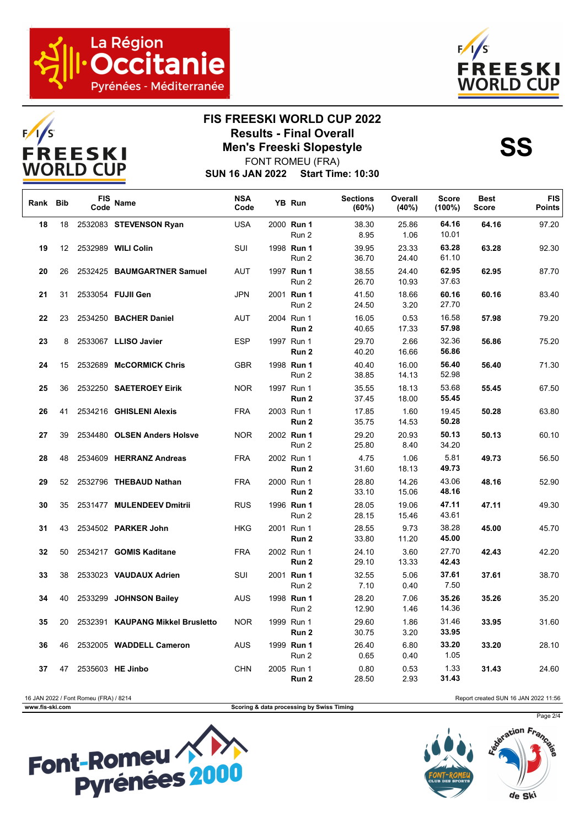



# **FIS FREESKI WORLD CUP 2022 Results - Final Overall<br>Men's Freeski Slopestyle<br>FONT BOMELL(ERA)**

**SUN 16 JAN 2022 Start Time: 10:30** FONT ROMEU (FRA)

| Rank Bib |                   | FIS<br>Code | <b>Name</b>                      | <b>NSA</b><br>Code | YB Run                         | <b>Sections</b><br>(60%) | Overall<br>(40%) | <b>Score</b><br>$(100\%)$ | <b>Best</b><br>Score | <b>FIS</b><br><b>Points</b> |
|----------|-------------------|-------------|----------------------------------|--------------------|--------------------------------|--------------------------|------------------|---------------------------|----------------------|-----------------------------|
| 18       | 18                |             | 2532083 STEVENSON Ryan           | <b>USA</b>         | 2000 Run 1<br>Run 2            | 38.30<br>8.95            | 25.86<br>1.06    | 64.16<br>10.01            | 64.16                | 97.20                       |
| 19       | $12 \overline{ }$ |             | 2532989 WILI Colin               | SUI                | 1998 Run 1<br>Run 2            | 39.95<br>36.70           | 23.33<br>24.40   | 63.28<br>61.10            | 63.28                | 92.30                       |
| 20       | 26                |             | 2532425 BAUMGARTNER Samuel       | <b>AUT</b>         | 1997 Run 1<br>Run 2            | 38.55<br>26.70           | 24.40<br>10.93   | 62.95<br>37.63            | 62.95                | 87.70                       |
| 21       | 31                |             | 2533054 FUJII Gen                | <b>JPN</b>         | 2001 Run 1<br>Run 2            | 41.50<br>24.50           | 18.66<br>3.20    | 60.16<br>27.70            | 60.16                | 83.40                       |
| 22       | 23                |             | 2534250 BACHER Daniel            | <b>AUT</b>         | 2004 Run 1<br>Run <sub>2</sub> | 16.05<br>40.65           | 0.53<br>17.33    | 16.58<br>57.98            | 57.98                | 79.20                       |
| 23       | 8                 |             | 2533067 LLISO Javier             | <b>ESP</b>         | 1997 Run 1<br>Run 2            | 29.70<br>40.20           | 2.66<br>16.66    | 32.36<br>56.86            | 56.86                | 75.20                       |
| 24       | 15                |             | 2532689 McCORMICK Chris          | <b>GBR</b>         | 1998 Run 1<br>Run 2            | 40.40<br>38.85           | 16.00<br>14.13   | 56.40<br>52.98            | 56.40                | 71.30                       |
| 25       | 36                |             | 2532250 SAETEROEY Eirik          | <b>NOR</b>         | 1997 Run 1<br>Run 2            | 35.55<br>37.45           | 18.13<br>18.00   | 53.68<br>55.45            | 55.45                | 67.50                       |
| 26       | 41                |             | 2534216 GHISLENI Alexis          | <b>FRA</b>         | 2003 Run 1<br>Run <sub>2</sub> | 17.85<br>35.75           | 1.60<br>14.53    | 19.45<br>50.28            | 50.28                | 63.80                       |
| 27       | 39                |             | 2534480 OLSEN Anders Holsve      | <b>NOR</b>         | 2002 Run 1<br>Run 2            | 29.20<br>25.80           | 20.93<br>8.40    | 50.13<br>34.20            | 50.13                | 60.10                       |
| 28       | 48                |             | 2534609 HERRANZ Andreas          | <b>FRA</b>         | 2002 Run 1<br>Run 2            | 4.75<br>31.60            | 1.06<br>18.13    | 5.81<br>49.73             | 49.73                | 56.50                       |
| 29       | 52                |             | 2532796 THEBAUD Nathan           | <b>FRA</b>         | 2000 Run 1<br>Run 2            | 28.80<br>33.10           | 14.26<br>15.06   | 43.06<br>48.16            | 48.16                | 52.90                       |
| 30       | 35                |             | 2531477 MULENDEEV Dmitrii        | <b>RUS</b>         | 1996 Run 1<br>Run 2            | 28.05<br>28.15           | 19.06<br>15.46   | 47.11<br>43.61            | 47.11                | 49.30                       |
| 31       | 43                |             | 2534502 PARKER John              | <b>HKG</b>         | 2001 Run 1<br>Run 2            | 28.55<br>33.80           | 9.73<br>11.20    | 38.28<br>45.00            | 45.00                | 45.70                       |
| 32       | 50                |             | 2534217 GOMIS Kaditane           | <b>FRA</b>         | 2002 Run 1<br>Run 2            | 24.10<br>29.10           | 3.60<br>13.33    | 27.70<br>42.43            | 42.43                | 42.20                       |
| 33       | 38                |             | 2533023 VAUDAUX Adrien           | SUI                | 2001 Run 1<br>Run 2            | 32.55<br>7.10            | 5.06<br>0.40     | 37.61<br>7.50             | 37.61                | 38.70                       |
| 34       | 40                |             | 2533299 JOHNSON Bailey           | <b>AUS</b>         | 1998 Run 1<br>Run 2            | 28.20<br>12.90           | 7.06<br>1.46     | 35.26<br>14.36            | 35.26                | 35.20                       |
| 35       | 20                |             | 2532391 KAUPANG Mikkel Brusletto | <b>NOR</b>         | 1999 Run 1<br>Run 2            | 29.60<br>30.75           | 1.86<br>3.20     | 31.46<br>33.95            | 33.95                | 31.60                       |
| 36       | 46                |             | 2532005 WADDELL Cameron          | <b>AUS</b>         | 1999 Run 1<br>Run 2            | 26.40<br>0.65            | 6.80<br>0.40     | 33.20<br>1.05             | 33.20                | 28.10                       |
| 37       | 47                |             | 2535603 HE Jinbo                 | <b>CHN</b>         | 2005 Run 1<br>Run 2            | 0.80<br>28.50            | 0.53<br>2.93     | 1.33<br>31.43             | 31.43                | 24.60                       |

16 JAN 2022 / Font Romeu (FRA) / 8214 Report created SUN 16 JAN 2022 11:56

**www.fis-ski.com Scoring & data processing by Swiss Timing**



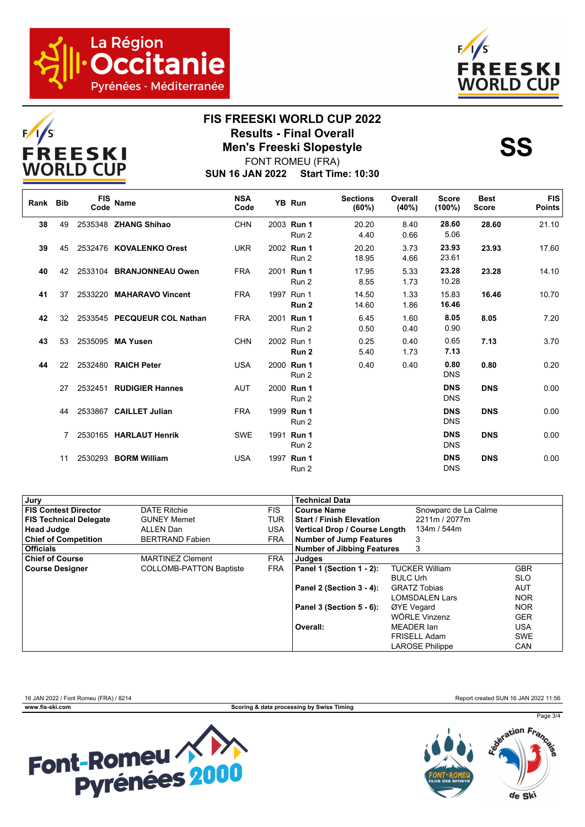



# **FIS FREESKI WORLD CUP 2022 Results - Final Overall<br>Men's Freeski Slopestyle<br>FONT BOMELL(ERA)**

**SUN 16 JAN 2022 Start Time: 10:30** FONT ROMEU (FRA)

| Rank Bib |    | <b>FIS</b><br>Code | Name                        | <b>NSA</b><br>Code | YB Run                     | <b>Sections</b><br>(60%) | Overall<br>(40%) | <b>Score</b><br>$(100\%)$ | <b>Best</b><br><b>Score</b> | <b>FIS</b><br><b>Points</b> |
|----------|----|--------------------|-----------------------------|--------------------|----------------------------|--------------------------|------------------|---------------------------|-----------------------------|-----------------------------|
| 38       | 49 |                    | 2535348 ZHANG Shihao        | <b>CHN</b>         | 2003 Run 1<br>Run 2        | 20.20<br>4.40            | 8.40<br>0.66     | 28.60<br>5.06             | 28.60                       | 21.10                       |
| 39       | 45 |                    | 2532476 KOVALENKO Orest     | <b>UKR</b>         | 2002 Run 1<br>Run 2        | 20.20<br>18.95           | 3.73<br>4.66     | 23.93<br>23.61            | 23.93                       | 17.60                       |
| 40       | 42 |                    | 2533104 BRANJONNEAU Owen    | <b>FRA</b>         | 2001 Run 1<br>Run 2        | 17.95<br>8.55            | 5.33<br>1.73     | 23.28<br>10.28            | 23.28                       | 14.10                       |
| 41       | 37 |                    | 2533220 MAHARAVO Vincent    | <b>FRA</b>         | 1997 Run 1<br>Run 2        | 14.50<br>14.60           | 1.33<br>1.86     | 15.83<br>16.46            | 16.46                       | 10.70                       |
| 42       | 32 |                    | 2533545 PECQUEUR COL Nathan | <b>FRA</b>         | 2001 Run 1<br>Run 2        | 6.45<br>0.50             | 1.60<br>0.40     | 8.05<br>0.90              | 8.05                        | 7.20                        |
| 43       | 53 |                    | 2535095 MA Yusen            | <b>CHN</b>         | 2002 Run 1<br>Run 2        | 0.25<br>5.40             | 0.40<br>1.73     | 0.65<br>7.13              | 7.13                        | 3.70                        |
| 44       | 22 |                    | 2532480 RAICH Peter         | <b>USA</b>         | 2000 Run 1<br>Run 2        | 0.40                     | 0.40             | 0.80<br><b>DNS</b>        | 0.80                        | 0.20                        |
|          | 27 |                    | 2532451 RUDIGIER Hannes     | <b>AUT</b>         | 2000 Run 1<br>Run 2        |                          |                  | <b>DNS</b><br><b>DNS</b>  | <b>DNS</b>                  | 0.00                        |
|          | 44 |                    | 2533867 CAILLET Julian      | <b>FRA</b>         | 1999 Run 1<br>Run 2        |                          |                  | <b>DNS</b><br><b>DNS</b>  | <b>DNS</b>                  | 0.00                        |
|          |    |                    | 2530165 HARLAUT Henrik      | <b>SWE</b>         | 1991 <b>Run 1</b><br>Run 2 |                          |                  | <b>DNS</b><br><b>DNS</b>  | <b>DNS</b>                  | 0.00                        |
|          | 11 |                    | 2530293 BORM William        | <b>USA</b>         | 1997 Run 1<br>Run 2        |                          |                  | <b>DNS</b><br><b>DNS</b>  | <b>DNS</b>                  | 0.00                        |

| Jury                          |                                |            | <b>Technical Data</b>             |                        |            |
|-------------------------------|--------------------------------|------------|-----------------------------------|------------------------|------------|
| <b>FIS Contest Director</b>   | <b>DATE Ritchie</b>            | <b>FIS</b> | <b>Course Name</b>                | Snowparc de La Calme   |            |
| <b>FIS Technical Delegate</b> | <b>GUNEY Memet</b>             | TUR        | <b>Start / Finish Elevation</b>   | 2211m / 2077m          |            |
| <b>Head Judge</b>             | ALLEN Dan                      | <b>USA</b> | Vertical Drop / Course Length     | 134m / 544m            |            |
| <b>Chief of Competition</b>   | <b>BERTRAND Fabien</b>         | <b>FRA</b> | <b>Number of Jump Features</b>    | 3                      |            |
| <b>Officials</b>              |                                |            | <b>Number of Jibbing Features</b> | 3                      |            |
| <b>Chief of Course</b>        | <b>MARTINEZ Clement</b>        | <b>FRA</b> | Judges                            |                        |            |
| <b>Course Designer</b>        | <b>COLLOMB-PATTON Baptiste</b> | <b>FRA</b> | Panel 1 (Section 1 - 2):          | <b>TUCKER William</b>  | <b>GBR</b> |
|                               |                                |            |                                   | <b>BULC Urh</b>        | <b>SLO</b> |
|                               |                                |            | Panel 2 (Section 3 - 4):          | <b>GRATZ Tobias</b>    | <b>AUT</b> |
|                               |                                |            |                                   | <b>LOMSDALEN Lars</b>  | <b>NOR</b> |
|                               |                                |            | Panel 3 (Section 5 - 6):          | ØYE Vegard             | <b>NOR</b> |
|                               |                                |            |                                   | WÖRLE Vinzenz          | <b>GER</b> |
|                               |                                |            | Overall:                          | MEADER Ian             | <b>USA</b> |
|                               |                                |            |                                   | FRISELL Adam           | <b>SWE</b> |
|                               |                                |            |                                   | <b>LAROSE Philippe</b> | <b>CAN</b> |

16 JAN 2022 / Font Romeu (FRA) / 8214 Report created SUN 16 JAN 2022 11:56